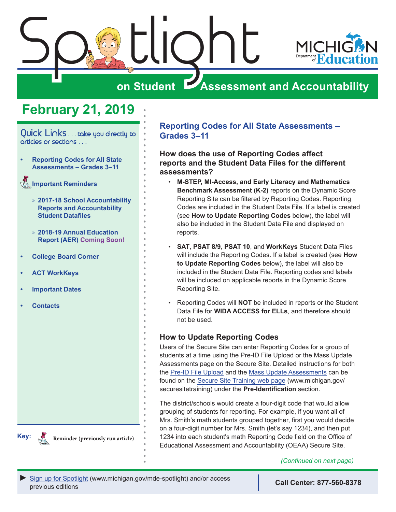

## **on Student Assessment and Accountability**

## **February 21, 2019**

<span id="page-0-0"></span>Quick Links ... take you directly to articles or sections . . .

- **• Reporting Codes for All State Assessments – Grades 3–11**
- Reminders **[Important Reminders](#page-2-0)**
	- » **[2017-18 School Accountability](#page-2-0)  [Reports and Accountability](#page-2-0)  [Student Datafiles](#page-2-0)**
	- » **[2018-19 Annual Education](#page-2-0)  [Report \(AER\)](#page-2-0) Coming Soon!**
- **• [College Board Corner](#page-3-0)**
- **• [ACT WorkKeys](#page-5-0)**
- **• [Important Dates](#page-6-0)**
- **• [Contacts](#page-8-0)**

**Key:**

Reminders **Reminder (previously run article)** **Reporting Codes for All State Assessments – Grades 3–11** 

#### **How does the use of Reporting Codes affect reports and the Student Data Files for the different assessments?**

- **M-STEP, MI-Access, and Early Literacy and Mathematics Benchmark Assessment (K-2)** reports on the Dynamic Score Reporting Site can be filtered by Reporting Codes. Reporting Codes are included in the Student Data File. If a label is created (see **How to Update Reporting Codes** below), the label will also be included in the Student Data File and displayed on reports.
- **SAT**, **PSAT 8/9**, **PSAT 10**, and **WorkKeys** Student Data Files will include the Reporting Codes. If a label is created (see **How to Update Reporting Codes** below), the label will also be included in the Student Data File. Reporting codes and labels will be included on applicable reports in the Dynamic Score Reporting Site.
- Reporting Codes will **NOT** be included in reports or the Student Data File for **WIDA ACCESS for ELLs**, and therefore should not be used.

#### **How to Update Reporting Codes**

Users of the Secure Site can enter Reporting Codes for a group of students at a time using the Pre-ID File Upload or the Mass Update Assessments page on the Secure Site. Detailed instructions for both the [Pre-ID File Upload](https://www.michigan.gov/documents/mde/Pre-ID_File_Upload_579415_7.pdf) and the [Mass Update Assessments](https://www.michigan.gov/documents/mde/Mass_Update_Assessments_quick_reference_509761_7.pdf) can be found on the [Secure Site Training web page](http://www.michigan.gov/securesitetraining) (www.michigan.gov/ securesitetraining) under the **Pre-Identification** section.

The district/schools would create a four-digit code that would allow grouping of students for reporting. For example, if you want all of Mrs. Smith's math students grouped together, first you would decide on a four-digit number for Mrs. Smith (let's say 1234), and then put 1234 into each student's math Reporting Code field on the Office of Educational Assessment and Accountability (OEAA) Secure Site.

*(Continued on next page)*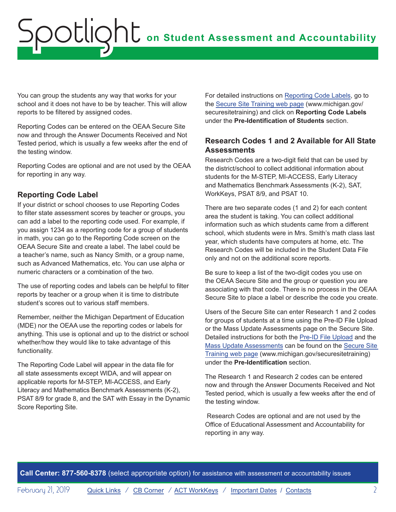You can group the students any way that works for your school and it does not have to be by teacher. This will allow reports to be filtered by assigned codes.

Reporting Codes can be entered on the OEAA Secure Site now and through the Answer Documents Received and Not Tested period, which is usually a few weeks after the end of the testing window.

Reporting Codes are optional and are not used by the OEAA for reporting in any way.

#### **Reporting Code Label**

If your district or school chooses to use Reporting Codes to filter state assessment scores by teacher or groups, you can add a label to the reporting code used. For example, if you assign 1234 as a reporting code for a group of students in math, you can go to the Reporting Code screen on the OEAA Secure Site and create a label. The label could be a teacher's name, such as Nancy Smith, or a group name, such as Advanced Mathematics, etc. You can use alpha or numeric characters or a combination of the two.

The use of reporting codes and labels can be helpful to filter reports by teacher or a group when it is time to distribute student's scores out to various staff members.

Remember, neither the Michigan Department of Education (MDE) nor the OEAA use the reporting codes or labels for anything. This use is optional and up to the district or school whether/how they would like to take advantage of this functionality.

The Reporting Code Label will appear in the data file for all state assessments except WIDA, and will appear on applicable reports for M-STEP, MI-ACCESS, and Early Literacy and Mathematics Benchmark Assessments (K-2), PSAT 8/9 for grade 8, and the SAT with Essay in the Dynamic Score Reporting Site.

For detailed instructions on [Reporting Code Labels](https://www.michigan.gov/documents/mde/Reporting_Codes_Instructions_609853_7.pdf), go to the [Secure Site Training web page](http://www.michigan.gov/securesitetraining) (www.michigan.gov/ securesitetraining) and click on **Reporting Code Labels** under the **Pre-Identification of Students** section.

#### **Research Codes 1 and 2 Available for All State Assessments**

Research Codes are a two-digit field that can be used by the district/school to collect additional information about students for the M-STEP, MI-ACCESS, Early Literacy and Mathematics Benchmark Assessments (K-2), SAT, WorkKeys, PSAT 8/9, and PSAT 10.

There are two separate codes (1 and 2) for each content area the student is taking. You can collect additional information such as which students came from a different school, which students were in Mrs. Smith's math class last year, which students have computers at home, etc. The Research Codes will be included in the Student Data File only and not on the additional score reports.

Be sure to keep a list of the two-digit codes you use on the OEAA Secure Site and the group or question you are associating with that code. There is no process in the OEAA Secure Site to place a label or describe the code you create.

Users of the Secure Site can enter Research 1 and 2 codes for groups of students at a time using the Pre-ID File Upload or the Mass Update Assessments page on the Secure Site. Detailed instructions for both the [Pre-ID File Upload](https://www.michigan.gov/documents/mde/Pre-ID_File_Upload_579415_7.pdf) and the [Mass Update Assessments](https://www.michigan.gov/documents/mde/Mass_Update_Assessments_quick_reference_509761_7.pdf) can be found on the [Secure Site](http://www.michigan.gov/securesitetraining)  [Training web page](http://www.michigan.gov/securesitetraining) (www.michigan.gov/securesitetraining) under the **Pre-Identification** section.

The Research 1 and Research 2 codes can be entered now and through the Answer Documents Received and Not Tested period, which is usually a few weeks after the end of the testing window.

 Research Codes are optional and are not used by the Office of Educational Assessment and Accountability for reporting in any way.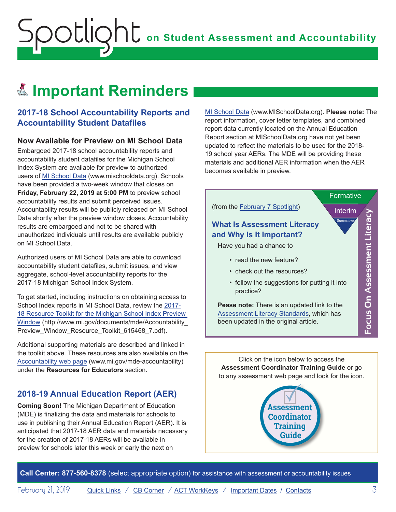# Reminders **Important Reminders**

<span id="page-2-0"></span>Spotlight

### **2017-18 School Accountability Reports and Accountability Student Datafiles**

#### **Now Available for Preview on MI School Data**

Embargoed 2017-18 school accountability reports and accountability student datafiles for the Michigan School Index System are available for preview to authorized users of [MI School Data](http://www.mischooldata.org) (www.mischooldata.org). Schools have been provided a two-week window that closes on **Friday, February 22, 2019 at 5:00 PM** to preview school accountability results and submit perceived issues. Accountability results will be publicly released on MI School Data shortly after the preview window closes. Accountability results are embargoed and not to be shared with unauthorized individuals until results are available publicly on MI School Data.

Authorized users of MI School Data are able to download accountability student datafiles, submit issues, and view aggregate, school-level accountability reports for the 2017-18 Michigan School Index System.

To get started, including instructions on obtaining access to School Index reports in MI School Data, review the [2017-](https://www.michigan.gov/documents/mde/Accountability_Preview_Window_Resource_Toolkit_615468_7.pdf) [18 Resource Toolkit for the Michigan School Index Preview](https://www.michigan.gov/documents/mde/Accountability_Preview_Window_Resource_Toolkit_615468_7.pdf)  [Window](https://www.michigan.gov/documents/mde/Accountability_Preview_Window_Resource_Toolkit_615468_7.pdf) (http://www.mi.gov/documents/mde/Accountability\_ Preview\_Window\_Resource\_Toolkit\_615468\_7.pdf).

Additional supporting materials are described and linked in the toolkit above. These resources are also available on the [Accountability web page](http://www.mi.gov/mde-accountability) (www.mi.gov/mde-accountability) under the **Resources for Educators** section.

## **2018-19 Annual Education Report (AER)**

**Coming Soon!** The Michigan Department of Education (MDE) is finalizing the data and materials for schools to use in publishing their Annual Education Report (AER). It is anticipated that 2017-18 AER data and materials necessary for the creation of 2017-18 AERs will be available in preview for schools later this week or early the next on

[MI School Data](http://www.mischooldata.org) (www.MISchoolData.org). **Please note:** The report information, cover letter templates, and combined report data currently located on the Annual Education Report section at MISchoolData.org have not yet been updated to reflect the materials to be used for the 2018- 19 school year AERs. The MDE will be providing these materials and additional AER information when the AER becomes available in preview.



Click on the icon below to access the **Assessment Coordinator Training Guide** or go to any assessment web page and look for the icon.

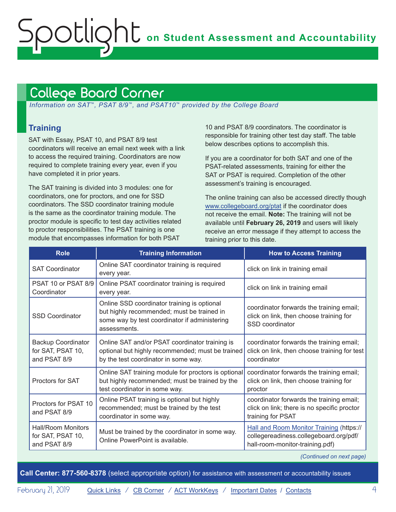## <span id="page-3-1"></span><span id="page-3-0"></span>College Board Corner

 *Information on SAT*™*, PSAT 8/9*™*, and PSAT10*™ *provided by the College Board*

## **Training**

SAT with Essay, PSAT 10, and PSAT 8/9 test coordinators will receive an email next week with a link to access the required training. Coordinators are now required to complete training every year, even if you have completed it in prior years.

The SAT training is divided into 3 modules: one for coordinators, one for proctors, and one for SSD coordinators. The SSD coordinator training module is the same as the coordinator training module. The proctor module is specific to test day activities related to proctor responsibilities. The PSAT training is one module that encompasses information for both PSAT

10 and PSAT 8/9 coordinators. The coordinator is responsible for training other test day staff. The table below describes options to accomplish this.

If you are a coordinator for both SAT and one of the PSAT-related assessments, training for either the SAT or PSAT is required. Completion of the other assessment's training is encouraged.

The online training can also be accessed directly though [www.collegeboard.org/ptat](http://www.collegeboard.org/ptat) if the coordinator does not receive the email. **Note:** The training will not be available until **February 26, 2019** and users will likely receive an error message if they attempt to access the training prior to this date.

| <b>Role</b>                                                    | <b>Training Information</b>                                                                                                                                | <b>How to Access Training</b>                                                                                         |
|----------------------------------------------------------------|------------------------------------------------------------------------------------------------------------------------------------------------------------|-----------------------------------------------------------------------------------------------------------------------|
| <b>SAT Coordinator</b>                                         | Online SAT coordinator training is required<br>every year.                                                                                                 | click on link in training email                                                                                       |
| PSAT 10 or PSAT 8/9<br>Coordinator                             | Online PSAT coordinator training is required<br>every year.                                                                                                | click on link in training email                                                                                       |
| <b>SSD Coordinator</b>                                         | Online SSD coordinator training is optional<br>but highly recommended; must be trained in<br>some way by test coordinator if administering<br>assessments. | coordinator forwards the training email;<br>click on link, then choose training for<br>SSD coordinator                |
| <b>Backup Coordinator</b><br>for SAT, PSAT 10,<br>and PSAT 8/9 | Online SAT and/or PSAT coordinator training is<br>optional but highly recommended; must be trained<br>by the test coordinator in some way.                 | coordinator forwards the training email;<br>click on link, then choose training for test<br>coordinator               |
| <b>Proctors for SAT</b>                                        | Online SAT training module for proctors is optional<br>but highly recommended; must be trained by the<br>test coordinator in some way.                     | coordinator forwards the training email;<br>click on link, then choose training for<br>proctor                        |
| Proctors for PSAT 10<br>and PSAT 8/9                           | Online PSAT training is optional but highly<br>recommended; must be trained by the test<br>coordinator in some way.                                        | coordinator forwards the training email;<br>click on link; there is no specific proctor<br>training for PSAT          |
| <b>Hall/Room Monitors</b><br>for SAT, PSAT 10,<br>and PSAT 8/9 | Must be trained by the coordinator in some way.<br>Online PowerPoint is available.                                                                         | Hall and Room Monitor Training (https://<br>collegereadiness.collegeboard.org/pdf/<br>hall-room-monitor-training.pdf) |

*(Continued on next page)*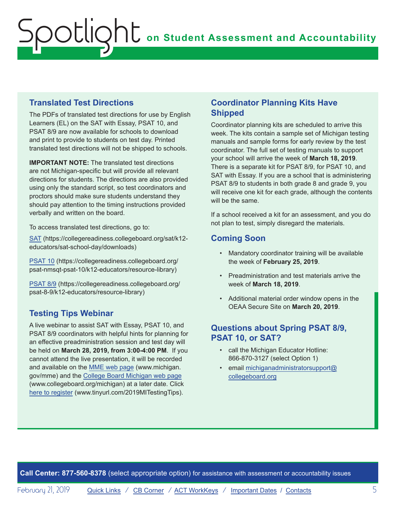### **Translated Test Directions**

The PDFs of translated test directions for use by English Learners (EL) on the SAT with Essay, PSAT 10, and PSAT 8/9 are now available for schools to download and print to provide to students on test day. Printed translated test directions will not be shipped to schools.

**IMPORTANT NOTE:** The translated test directions are not Michigan-specific but will provide all relevant directions for students. The directions are also provided using only the standard script, so test coordinators and proctors should make sure students understand they should pay attention to the timing instructions provided verbally and written on the board.

To access translated test directions, go to:

[SAT](https://collegereadiness.collegeboard.org/sat/k12-educators/sat-school-day/downloads) (https://collegereadiness.collegeboard.org/sat/k12 educators/sat-school-day/downloads)

[PSAT 10](https://collegereadiness.collegeboard.org/psat-nmsqt-psat-10/k12-educators/resource-library) (https://collegereadiness.collegeboard.org/ psat-nmsqt-psat-10/k12-educators/resource-library)

[PSAT 8/9](https://collegereadiness.collegeboard.org/psat-nmsqt-psat-10/k12-educators/resource-library) (https://collegereadiness.collegeboard.org/ psat-8-9/k12-educators/resource-library)

## **Testing Tips Webinar**

A live webinar to assist SAT with Essay, PSAT 10, and PSAT 8/9 coordinators with helpful hints for planning for an effective preadministration session and test day will be held on **March 28, 2019, from 3:00-4:00 PM**. If you cannot attend the live presentation, it will be recorded and available on the [MME web page](www.michigan.gov/mme) (www.michigan. gov/mme) and the [College Board Michigan web page](http://www.collegeboard.org/michigan) (www.collegeboard.org/michigan) at a later date. Click [here to register](http://www.tinyurl.com/2019MITestingTips) (www.tinyurl.com/2019MITestingTips).

### **Coordinator Planning Kits Have Shipped**

Coordinator planning kits are scheduled to arrive this week. The kits contain a sample set of Michigan testing manuals and sample forms for early review by the test coordinator. The full set of testing manuals to support your school will arrive the week of **March 18, 2019**. There is a separate kit for PSAT 8/9, for PSAT 10, and SAT with Essay. If you are a school that is administering PSAT 8/9 to students in both grade 8 and grade 9, you will receive one kit for each grade, although the contents will be the same.

If a school received a kit for an assessment, and you do not plan to test, simply disregard the materials.

## **Coming Soon**

- Mandatory coordinator training will be available the week of **February 25, 2019**.
- Preadministration and test materials arrive the week of **March 18, 2019**.
- Additional material order window opens in the OEAA Secure Site on **March 20, 2019**.

### **Questions about Spring PSAT 8/9, PSAT 10, or SAT?**

- call the Michigan Educator Hotline: 866-870-3127 (select Option 1)
- email [michiganadministratorsupport@](mailto:michiganadministratorsupport%40collegeboard.org?subject=) [collegeboard.org](mailto:michiganadministratorsupport%40collegeboard.org?subject=)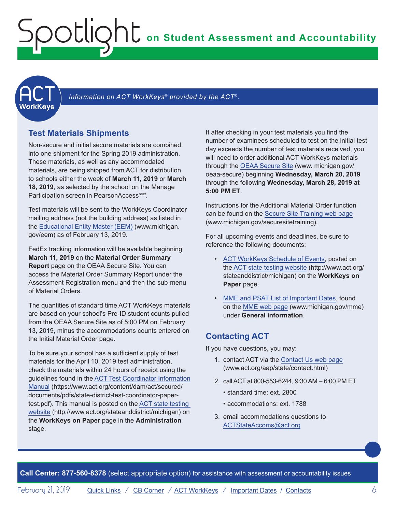<span id="page-5-0"></span>

Information on ACT WorkKeys<sup>®</sup> provided by the ACT<sup>®</sup>.

### **Test Materials Shipments**

Non-secure and initial secure materials are combined into one shipment for the Spring 2019 administration. These materials, as well as any accommodated materials, are being shipped from ACT for distribution to schools either the week of **March 11, 2019** or **March 18, 2019**, as selected by the school on the Manage Participation screen in PearsonAccess<sup>next</sup>.

Test materials will be sent to the WorkKeys Coordinator mailing address (not the building address) as listed in the [Educational Entity Master \(EEM\)](www.michigan.gov/EEM) (www.michigan. gov/eem) as of February 13, 2019.

FedEx tracking information will be available beginning **March 11, 2019** on the **Material Order Summary Report** page on the OEAA Secure Site. You can access the Material Order Summary Report under the Assessment Registration menu and then the sub-menu of Material Orders.

The quantities of standard time ACT WorkKeys materials are based on your school's Pre-ID student counts pulled from the OEAA Secure Site as of 5:00 PM on February 13, 2019, minus the accommodations counts entered on the Initial Material Order page.

To be sure your school has a sufficient supply of test materials for the April 10, 2019 test administration, check the materials within 24 hours of receipt using the guidelines found in the [ACT Test Coordinator Information](https://www.act.org/content/dam/act/secured/documents/pdfs/state-district-test-coordinator-paper-test.pdf)  [Manual](https://www.act.org/content/dam/act/secured/documents/pdfs/state-district-test-coordinator-paper-test.pdf) (https://www.act.org/content/dam/act/secured/ documents/pdfs/state-district-test-coordinator-papertest.pdf). This manual is posted on the [ACT state testing](http://www.act.org/stateanddistrict/michigan)  [website](http://www.act.org/stateanddistrict/michigan) (http://www.act.org/stateanddistrict/michigan) on the **WorkKeys on Paper** page in the **Administration**  stage.

If after checking in your test materials you find the number of examinees scheduled to test on the initial test day exceeds the number of test materials received, you will need to order additional ACT WorkKeys materials through the [OEAA Secure Site](http://www.michigan.gov/oeaa-secure) (www. michigan.gov/ oeaa-secure) beginning **Wednesday, March 20, 2019** through the following **Wednesday, March 28, 2019 at 5:00 PM ET**.

Instructions for the Additional Material Order function can be found on the [Secure Site Training web page](http://www.michigan.gov/securesitetraining) (www.michigan.gov/securesitetraining).

For all upcoming events and deadlines, be sure to reference the following documents:

- [ACT WorkKeys Schedule of Events](http://www.act.org/content/dam/act/unsecured/documents/ScheduleofEventsWorkKeys-MI.pdf), posted on the [ACT state testing website](http://www.act.org/stateanddistrict/michigan) (http://www.act.org/ stateanddistrict/michigan) on the **WorkKeys on Paper** page.
- [MME and PSAT List of Important Dates](https://www.michigan.gov/documents/mde/MME_List_of_Important_Dates_634790_7.pdf), found on the [MME web page](www.michigan.gov/mme) (www.michigan.gov/mme) under **General information**.

## **Contacting ACT**

If you have questions, you may:

- 1. contact ACT via the [Contact Us web page](http://www.act.org/aap/state/contact.html) ([www.act.org/aap/state/contact.html\)](www.act.org/aap/state/contact.html)
- 2. call ACT at 800-553-6244, 9:30 AM 6:00 PM ET
	- standard time: ext. 2800
	- accommodations: ext. 1788
- 3. email accommodations questions to [ACTStateAccoms@act.org](mailto:ACTStateAccoms%40act.org?subject=)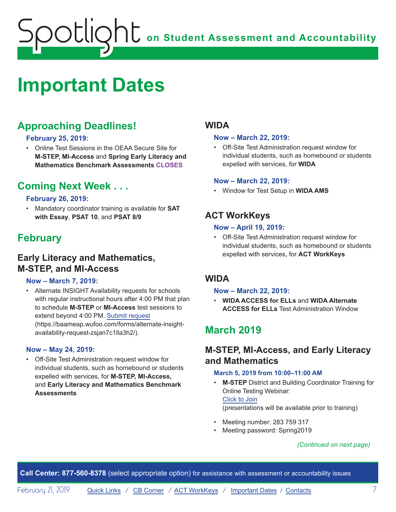# <span id="page-6-1"></span><span id="page-6-0"></span>**Important Dates**

## **Approaching Deadlines!**

#### **February 25, 2019:**

• Online Test Sessions in the OEAA Secure Site for **M-STEP, MI-Access** and **Spring Early Literacy and Mathematics Benchmark Assessments CLOSES**

## **Coming Next Week . . .**

#### **February 26, 2019:**

• Mandatory coordinator training is available for **SAT with Essay**, **PSAT 10**, and **PSAT 8/9**

## **February**

## **Early Literacy and Mathematics, M-STEP, and MI-Access**

#### **Now – March 7, 2019:**

• Alternate INSIGHT Availability requests for schools with regular instructional hours after 4:00 PM that plan to schedule **M-STEP** or **MI-Access** test sessions to extend beyond 4:00 PM. [Submit request](https://baameap.wufoo.com/forms/alternate-insight-availability-request-zsjan7c1lla3h2/) (https://baameap.wufoo.com/forms/alternate-insightavailability-request-zsjan7c1lla3h2/).

#### **Now – May 24, 2019:**

• Off-Site Test Administration request window for individual students, such as homebound or students expelled with services, for **M-STEP, MI-Access,**  and **Early Literacy and Mathematics Benchmark Assessments**

## **WIDA**

#### **Now – March 22, 2019:**

• Off-Site Test Administration request window for individual students, such as homebound or students expelled with services, for **WIDA**

#### **Now – March 22, 2019:**

• Window for Test Setup in **WIDA AMS**

## **ACT WorkKeys**

#### **Now – April 19, 2019:**

• Off-Site Test Administration request window for individual students, such as homebound or students expelled with services, for **ACT WorkKeys**

### **WIDA**

#### **Now – March 22, 2019:**

• **WIDA ACCESS for ELLs** and **WIDA Alternate ACCESS for ELLs** Test Administration Window

## **March 2019**

## **M-STEP, MI-Access, and Early Literacy and Mathematics**

#### **March 5, 2019 from 10:00–11:00 AM**

- **M-STEP** District and Building Coordinator Training for Online Testing Webinar: Click to Join (presentations will be available prior to training)
- Meeting number: 283 759 317
- Meeting password: Spring2019

#### *(Continued on next page)*

**Call Center: 877-560-8378** (select appropriate option) for assistance with assessment or accountability issues

February 21, 2019 **[Quick Links](#page-0-0) / [CB Corner](#page-3-1) / [ACT WorkKeys](#page-5-0) / [Important Dates](#page-6-1) / [Contacts](#page-8-1)** 7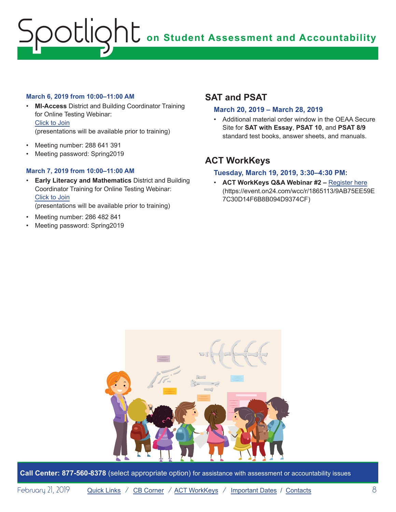#### **March 6, 2019 from 10:00–11:00 AM**

- **MI-Access** District and Building Coordinator Training for Online Testing Webinar: Click to Join (presentations will be available prior to training)
- Meeting number: 288 641 391
- Meeting password: Spring2019

#### **March 7, 2019 from 10:00–11:00 AM**

- **Early Literacy and Mathematics** District and Building Coordinator Training for Online Testing Webinar: Click to Join (presentations will be available prior to training)
- Meeting number: 286 482 841
- Meeting password: Spring2019

## **SAT and PSAT**

#### **March 20, 2019 – March 28, 2019**

• Additional material order window in the OEAA Secure Site for **SAT with Essay**, **PSAT 10**, and **PSAT 8/9** standard test books, answer sheets, and manuals.

## **ACT WorkKeys**

#### **Tuesday, March 19, 2019, 3:30–4:30 PM:**

• **ACT WorkKeys Q&A Webinar #2 –** Register here (https://event.on24.com/wcc/r/1865113/9AB75EE59E 7C30D14F6B8B094D9374CF)